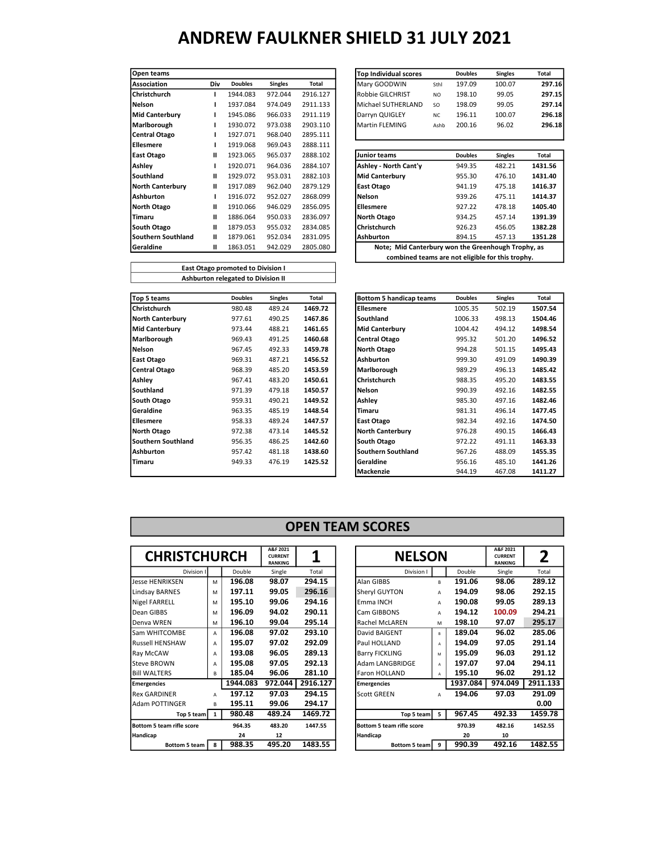| Open teams              |     |                |                |          | <b>Top Individual scores</b>                       |                | <b>Doubles</b> | <b>Singles</b> | Total  |
|-------------------------|-----|----------------|----------------|----------|----------------------------------------------------|----------------|----------------|----------------|--------|
| <b>Association</b>      | Div | <b>Doubles</b> | <b>Singles</b> | Total    | Mary GOODWIN                                       | Sthl           | 197.09         | 100.07         | 297    |
| <b>Christchurch</b>     |     | 1944.083       | 972.044        | 2916.127 | Robbie GILCHRIST                                   | N <sub>O</sub> | 198.10         | 99.05          | 297    |
| Nelson                  |     | 1937.084       | 974.049        | 2911.133 | Michael SUTHERLAND                                 | <b>SO</b>      | 198.09         | 99.05          | 297    |
| Mid Canterbury          |     | 1945.086       | 966.033        | 2911.119 | Darryn QUIGLEY                                     | <b>NC</b>      | 196.11         | 100.07         | 296    |
| Marlborough             |     | 1930.072       | 973.038        | 2903.110 | <b>Martin FLEMING</b>                              | Ashb           | 200.16         | 96.02          | 296    |
| Central Otago           |     | 1927.071       | 968.040        | 2895.111 |                                                    |                |                |                |        |
| <b>Ellesmere</b>        |     | 1919.068       | 969.043        | 2888.111 |                                                    |                |                |                |        |
| <b>East Otago</b>       | н   | 1923.065       | 965.037        | 2888.102 | Junior teams                                       |                | <b>Doubles</b> | <b>Singles</b> | Total  |
| Ashley                  |     | 1920.071       | 964.036        | 2884.107 | Ashley - North Cant'y                              |                | 949.35         | 482.21         | 1431.5 |
| <b>Southland</b>        | н   | 1929.072       | 953.031        | 2882.103 | Mid Canterbury                                     |                | 955.30         | 476.10         | 1431.4 |
| <b>North Canterbury</b> | Ш   | 1917.089       | 962.040        | 2879.129 | East Otago                                         |                | 941.19         | 475.18         | 1416.3 |
| Ashburton               |     | 1916.072       | 952.027        | 2868.099 | Nelson                                             |                | 939.26         | 475.11         | 1414.3 |
| North Otago             | Ш   | 1910.066       | 946.029        | 2856.095 | <b>Ellesmere</b>                                   |                | 927.22         | 478.18         | 1405.4 |
| Timaru                  | н   | 1886.064       | 950.033        | 2836.097 | North Otago                                        |                | 934.25         | 457.14         | 1391.3 |
| South Otago             | Ш   | 1879.053       | 955.032        | 2834.085 | Christchurch                                       |                | 926.23         | 456.05         | 1382.2 |
| Southern Southland      | Ш   | 1879.061       | 952.034        | 2831.095 | <b>Ashburton</b>                                   |                | 894.15         | 457.13         | 1351.2 |
| Geraldine               | Ш   | 1863.051       | 942.029        | 2805.080 | Note; Mid Canterbury won the Greenhough Trophy, as |                |                |                |        |
|                         |     |                |                |          |                                                    |                |                |                |        |

|              |                |                |          | <b>Top Individual scores</b> |                | <b>Doubles</b> | <b>Singles</b> | Total                                                                                                  |
|--------------|----------------|----------------|----------|------------------------------|----------------|----------------|----------------|--------------------------------------------------------------------------------------------------------|
| Div          | <b>Doubles</b> | <b>Singles</b> | Total    | Mary GOODWIN                 | Sthl           | 197.09         | 100.07         |                                                                                                        |
|              | 1944.083       | 972.044        | 2916.127 | Robbie GILCHRIST             | N <sub>O</sub> | 198.10         | 99.05          | 297.15                                                                                                 |
|              | 1937.084       | 974.049        | 2911.133 | Michael SUTHERLAND           | <b>SO</b>      | 198.09         | 99.05          |                                                                                                        |
|              | 1945.086       | 966.033        | 2911.119 | Darryn QUIGLEY               | <b>NC</b>      | 196.11         | 100.07         |                                                                                                        |
|              | 1930.072       | 973.038        | 2903.110 | <b>Martin FLEMING</b>        | Ashb           | 200.16         | 96.02          |                                                                                                        |
|              | 1927.071       | 968.040        | 2895.111 |                              |                |                |                |                                                                                                        |
| L            | 1919.068       | 969.043        | 2888.111 |                              |                |                |                |                                                                                                        |
| Ш            | 1923.065       | 965.037        | 2888.102 | <b>Junior teams</b>          |                | <b>Doubles</b> | <b>Singles</b> | Total                                                                                                  |
| $\mathbf{I}$ | 1920.071       | 964.036        | 2884.107 | Ashley - North Cant'y        |                | 949.35         | 482.21         | 1431.56                                                                                                |
| Ш            | 1929.072       | 953.031        | 2882.103 | <b>Mid Canterbury</b>        |                | 955.30         | 476.10         | 1431.40                                                                                                |
| п            | 1917.089       | 962.040        | 2879.129 | <b>East Otago</b>            |                | 941.19         | 475.18         | 1416.37                                                                                                |
|              | 1916.072       | 952.027        | 2868.099 | Nelson                       |                | 939.26         | 475.11         | 1414.37                                                                                                |
| п            | 1910.066       | 946.029        | 2856.095 | <b>Ellesmere</b>             |                | 927.22         | 478.18         | 1405.40                                                                                                |
| п            | 1886.064       | 950.033        | 2836.097 | <b>North Otago</b>           |                | 934.25         | 457.14         | 1391.39                                                                                                |
| п            | 1879.053       | 955.032        | 2834.085 | Christchurch                 |                | 926.23         | 456.05         | 1382.28                                                                                                |
| Ш            | 1879.061       | 952.034        | 2831.095 | <b>Ashburton</b>             |                | 894.15         | 457.13         | 1351.28                                                                                                |
| Ш            | 1863.051       | 942.029        | 2805.080 |                              |                |                |                |                                                                                                        |
|              |                |                |          |                              |                |                |                |                                                                                                        |
|              |                |                |          |                              |                |                |                | Note; Mid Canterbury won the Greenhough Trophy, as<br>combined teams are not eligible for this trophy. |

| East Otago promoted to Division I  |
|------------------------------------|
| Ashburton relegated to Division II |
|                                    |

| Top 5 teams             | <b>Doubles</b> | <b>Singles</b> | Total   | Bottom 5 handicap teams | <b>Doubles</b> | <b>Singles</b> | Total  |
|-------------------------|----------------|----------------|---------|-------------------------|----------------|----------------|--------|
| l Christchurch          | 980.48         | 489.24         | 1469.72 | <b>Ellesmere</b>        | 1005.35        | 502.19         | 1507.5 |
| <b>North Canterbury</b> | 977.61         | 490.25         | 1467.86 | <b>Southland</b>        | 1006.33        | 498.13         | 1504.4 |
| <b>Mid Canterbury</b>   | 973.44         | 488.21         | 1461.65 | Mid Canterbury          | 1004.42        | 494.12         | 1498.5 |
| Marlborough             | 969.43         | 491.25         | 1460.68 | <b>Central Otago</b>    | 995.32         | 501.20         | 1496.5 |
| Nelson                  | 967.45         | 492.33         | 1459.78 | North Otago             | 994.28         | 501.15         | 1495.4 |
| East Otago              | 969.31         | 487.21         | 1456.52 | Ashburton               | 999.30         | 491.09         | 1490.3 |
| <b>Central Otago</b>    | 968.39         | 485.20         | 1453.59 | Marlborough             | 989.29         | 496.13         | 1485.4 |
| Ashley                  | 967.41         | 483.20         | 1450.61 | Christchurch            | 988.35         | 495.20         | 1483.5 |
| Southland               | 971.39         | 479.18         | 1450.57 | Nelson                  | 990.39         | 492.16         | 1482.5 |
| South Otago             | 959.31         | 490.21         | 1449.52 | Ashlev                  | 985.30         | 497.16         | 1482.4 |
| Geraldine               | 963.35         | 485.19         | 1448.54 | Timaru                  | 981.31         | 496.14         | 1477.4 |
| <b>Ellesmere</b>        | 958.33         | 489.24         | 1447.57 | East Otago              | 982.34         | 492.16         | 1474.5 |
| North Otago             | 972.38         | 473.14         | 1445.52 | <b>North Canterbury</b> | 976.28         | 490.15         | 1466.4 |
| Southern Southland      | 956.35         | 486.25         | 1442.60 | South Otago             | 972.22         | 491.11         | 1463.3 |
| Ashburton               | 957.42         | 481.18         | 1438.60 | lSouthern Southland     | 967.26         | 488.09         | 1455.3 |
| Timaru                  | 949.33         | 476.19         | 1425.52 | Geraldine               | 956.16         | 485.10         | 1441.2 |
|                         |                |                |         | Mackenzie               | 944 19         | 467.08         | 1411.2 |

| Top 5 teams             | <b>Doubles</b> | <b>Singles</b> | Total   | Bottom 5 handicap teams | <b>Doubles</b> | <b>Singles</b> | Total   |
|-------------------------|----------------|----------------|---------|-------------------------|----------------|----------------|---------|
| Christchurch            | 980.48         | 489.24         | 1469.72 | <b>Ellesmere</b>        | 1005.35        | 502.19         | 1507.54 |
| <b>North Canterbury</b> | 977.61         | 490.25         | 1467.86 | Southland               | 1006.33        | 498.13         | 1504.46 |
| Mid Canterbury          | 973.44         | 488.21         | 1461.65 | <b>Mid Canterbury</b>   | 1004.42        | 494.12         | 1498.54 |
| Marlborough             | 969.43         | 491.25         | 1460.68 | Central Otago           | 995.32         | 501.20         | 1496.52 |
| Nelson                  | 967.45         | 492.33         | 1459.78 | <b>North Otago</b>      | 994.28         | 501.15         | 1495.43 |
| East Otago              | 969.31         | 487.21         | 1456.52 | Ashburton               | 999.30         | 491.09         | 1490.39 |
| Central Otago           | 968.39         | 485.20         | 1453.59 | Marlborough             | 989.29         | 496.13         | 1485.42 |
| Ashley                  | 967.41         | 483.20         | 1450.61 | <b>Christchurch</b>     | 988.35         | 495.20         | 1483.55 |
| Southland               | 971.39         | 479.18         | 1450.57 | Nelson                  | 990.39         | 492.16         | 1482.55 |
| South Otago             | 959.31         | 490.21         | 1449.52 | Ashley                  | 985.30         | 497.16         | 1482.46 |
| Geraldine               | 963.35         | 485.19         | 1448.54 | Timaru                  | 981.31         | 496.14         | 1477.45 |
| Ellesmere               | 958.33         | 489.24         | 1447.57 | <b>East Otago</b>       | 982.34         | 492.16         | 1474.50 |
| North Otago             | 972.38         | 473.14         | 1445.52 | <b>North Canterbury</b> | 976.28         | 490.15         | 1466.43 |
| Southern Southland      | 956.35         | 486.25         | 1442.60 | South Otago             | 972.22         | 491.11         | 1463.33 |
| Ashburton               | 957.42         | 481.18         | 1438.60 | lSouthern Southland     | 967.26         | 488.09         | 1455.35 |
| Timaru                  | 949.33         | 476.19         | 1425.52 | <b>Geraldine</b>        | 956.16         | 485.10         | 1441.26 |
|                         |                |                |         | Mackenzie               | 944.19         | 467.08         | 1411.27 |

#### OPEN TEAM SCORES

| <b>CHRISTCHURCH</b>       |              |          | A&F 2021<br><b>CURRENT</b><br><b>RANKING</b> | 1        | <b>NELSON</b>             |              |          | A&F 2021<br><b>CURRENT</b><br><b>RANKING</b> | 2       |
|---------------------------|--------------|----------|----------------------------------------------|----------|---------------------------|--------------|----------|----------------------------------------------|---------|
| Division I                |              | Double   | Single                                       | Total    | Division I                |              | Double   | Single                                       | Total   |
| <b>Jesse HENRIKSEN</b>    | M            | 196.08   | 98.07                                        | 294.15   | Alan GIBBS                | R.           | 191.06   | 98.06                                        | 289.1   |
| Lindsay BARNES            | M            | 197.11   | 99.05                                        | 296.16   | Sheryl GUYTON             | A            | 194.09   | 98.06                                        | 292.1   |
| <b>Nigel FARRELL</b>      | M            | 195.10   | 99.06                                        | 294.16   | Emma INCH                 | A            | 190.08   | 99.05                                        | 289.13  |
| Dean GIBBS                | M            | 196.09   | 94.02                                        | 290.11   | Cam GIBBONS               | A            | 194.12   | 100.09                                       | 294.2   |
| Denva WREN                | M            | 196.10   | 99.04                                        | 295.14   | Rachel McLAREN            | м            | 198.10   | 97.07                                        | 295.1   |
| Sam WHITCOMBE             | A            | 196.08   | 97.02                                        | 293.10   | David BAIGENT             | $\mathsf{R}$ | 189.04   | 96.02                                        | 285.0   |
| <b>Russell HENSHAW</b>    | А            | 195.07   | 97.02                                        | 292.09   | Paul HOLLAND              | A            | 194.09   | 97.05                                        | 291.14  |
| Ray McCAW                 | А            | 193.08   | 96.05                                        | 289.13   | <b>Barry FICKLING</b>     | M            | 195.09   | 96.03                                        | 291.1   |
| <b>Steve BROWN</b>        | A            | 195.08   | 97.05                                        | 292.13   | Adam LANGBRIDGE           | A            | 197.07   | 97.04                                        | 294.1   |
| <b>BIII WALTERS</b>       | в            | 185.04   | 96.06                                        | 281.10   | Faron HOLLAND             | A            | 195.10   | 96.02                                        | 291.1   |
| <b>Emergencies</b>        |              | 1944.083 | 972.044                                      | 2916.127 | <b>Emergencies</b>        |              | 1937.084 | 974.049                                      | 2911.13 |
| <b>Rex GARDINER</b>       | A            | 197.12   | 97.03                                        | 294.15   | <b>Scott GREEN</b>        | A            | 194.06   | 97.03                                        | 291.0   |
| Adam POTTINGER            | В            | 195.11   | 99.06                                        | 294.17   |                           |              |          |                                              | 0.00    |
| Top 5 team                | $\mathbf{1}$ | 980.48   | 489.24                                       | 1469.72  | Top 5 team                | -5           | 967.45   | 492.33                                       | 1459.7  |
| Bottom 5 team rifle score |              | 964.35   | 483.20                                       | 1447.55  | Bottom 5 team rifle score |              | 970.39   | 482.16                                       | 1452.55 |
| Handicap                  |              | 24       | 12                                           |          | Handicap                  |              | 20       | 10                                           |         |
| Bottom 5 team             | 8            | 988.35   | 495.20                                       | 1483.55  | Bottom 5 team 9           |              | 990.39   | 492.16                                       | 1482.5  |

| <b>CHRISTCHURCH</b>              |   |          | A&F 2021<br><b>CURRENT</b><br><b>RANKING</b> |          | <b>NELSON</b>             |    |          | A&F 2021<br><b>CURRENT</b><br><b>RANKING</b> | 2        |
|----------------------------------|---|----------|----------------------------------------------|----------|---------------------------|----|----------|----------------------------------------------|----------|
| Division I                       |   | Double   | Single                                       | Total    | Division I                |    | Double   | Single                                       | Total    |
| Jesse HENRIKSEN                  | M | 196.08   | 98.07                                        | 294.15   | Alan GIBBS                | R. | 191.06   | 98.06                                        | 289.12   |
| Lindsay BARNES                   | M | 197.11   | 99.05                                        | 296.16   | Sheryl GUYTON             | A  | 194.09   | 98.06                                        | 292.15   |
| Nigel FARRELL                    | M | 195.10   | 99.06                                        | 294.16   | Emma INCH                 | A  | 190.08   | 99.05                                        | 289.13   |
| Dean GIBBS                       | M | 196.09   | 94.02                                        | 290.11   | Cam GIBBONS               | A  | 194.12   | 100.09                                       | 294.21   |
| Denva WREN                       | M | 196.10   | 99.04                                        | 295.14   | Rachel McLAREN            | M  | 198.10   | 97.07                                        | 295.17   |
| Sam WHITCOMBE                    | A | 196.08   | 97.02                                        | 293.10   | David BAIGENT             | R. | 189.04   | 96.02                                        | 285.06   |
| <b>Russell HENSHAW</b>           | A | 195.07   | 97.02                                        | 292.09   | Paul HOLLAND              | A  | 194.09   | 97.05                                        | 291.14   |
| Ray McCAW                        | A | 193.08   | 96.05                                        | 289.13   | <b>Barry FICKLING</b>     | M  | 195.09   | 96.03                                        | 291.12   |
| <b>Steve BROWN</b>               | A | 195.08   | 97.05                                        | 292.13   | Adam LANGBRIDGE           | A  | 197.07   | 97.04                                        | 294.11   |
| <b>Bill WALTERS</b>              | В | 185.04   | 96.06                                        | 281.10   | Faron HOLLAND             | A  | 195.10   | 96.02                                        | 291.12   |
| <b>Emergencies</b>               |   | 1944.083 | 972.044                                      | 2916.127 | <b>Emergencies</b>        |    | 1937.084 | 974.049                                      | 2911.133 |
| <b>Rex GARDINER</b>              | А | 197.12   | 97.03                                        | 294.15   | <b>Scott GREEN</b>        | A  | 194.06   | 97.03                                        | 291.09   |
| Adam POTTINGER                   | B | 195.11   | 99.06                                        | 294.17   |                           |    |          |                                              | 0.00     |
| Top 5 team                       | 1 | 980.48   | 489.24                                       | 1469.72  | Top 5 team                | 5  | 967.45   | 492.33                                       | 1459.78  |
| <b>Bottom 5 team rifle score</b> |   | 964.35   | 483.20                                       | 1447.55  | Bottom 5 team rifle score |    | 970.39   | 482.16                                       | 1452.55  |
| Handicap                         |   | 24       | 12                                           |          | Handicap                  |    | 20       | 10                                           |          |
| Bottom 5 team                    | 8 | 988.35   | 495.20                                       | 1483.55  | Bottom 5 team             | 9  | 990.39   | 492.16                                       | 1482.55  |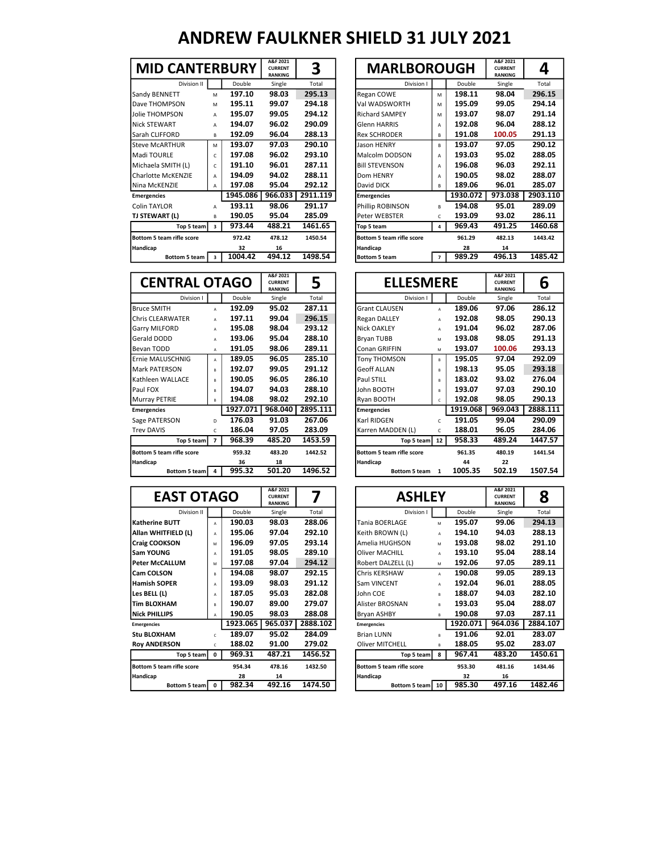| <b>MID CANTERBURY</b>     |   |          | A&F 2021<br><b>CURRENT</b><br><b>RANKING</b> | 3        | <b>MARLBOROUGH</b>        |                |          | A&F 2021<br><b>CURRENT</b><br><b>RANKING</b> |
|---------------------------|---|----------|----------------------------------------------|----------|---------------------------|----------------|----------|----------------------------------------------|
| Division II               |   | Double   | Single                                       | Total    | Division I                |                | Double   | Single                                       |
| Sandy BENNETT             | M | 197.10   | 98.03                                        | 295.13   | Regan COWE                | M              | 198.11   | 98.04                                        |
| Dave THOMPSON             | M | 195.11   | 99.07                                        | 294.18   | Val WADSWORTH             | M              | 195.09   | 99.05                                        |
| Jolie THOMPSON            | A | 195.07   | 99.05                                        | 294.12   | <b>Richard SAMPEY</b>     | M              | 193.07   | 98.07                                        |
| <b>Nick STEWART</b>       | A | 194.07   | 96.02                                        | 290.09   | <b>Glenn HARRIS</b>       | A              | 192.08   | 96.04                                        |
| Sarah CLIFFORD            | в | 192.09   | 96.04                                        | 288.13   | <b>Rex SCHRODER</b>       | B              | 191.08   | 100.05                                       |
| <b>Steve McARTHUR</b>     | M | 193.07   | 97.03                                        | 290.10   | Jason HENRY               | B.             | 193.07   | 97.05                                        |
| Madi TOURLE               | C | 197.08   | 96.02                                        | 293.10   | Malcolm DODSON            | A              | 193.03   | 95.02                                        |
| Michaela SMITH (L)        | C | 191.10   | 96.01                                        | 287.11   | <b>Bill STEVENSON</b>     | A              | 196.08   | 96.03                                        |
| Charlotte McKENZIE        | A | 194.09   | 94.02                                        | 288.11   | Dom HENRY                 | A              | 190.05   | 98.02                                        |
| Nina McKENZIE             | А | 197.08   | 95.04                                        | 292.12   | David DICK                | В              | 189.06   | 96.01                                        |
| <b>Emergencies</b>        |   | 1945.086 | 966.033                                      | 2911.119 | <b>Emergencies</b>        |                | 1930.072 | 973.038                                      |
| <b>Colin TAYLOR</b>       | A | 193.11   | 98.06                                        | 291.17   | Phillip ROBINSON          | B              | 194.08   | 95.01                                        |
| TJ STEWART (L)            | в | 190.05   | 95.04                                        | 285.09   | Peter WEBSTER             | C              | 193.09   | 93.02                                        |
| Top 5 team                | 3 | 973.44   | 488.21                                       | 1461.65  | Top 5 team                | 4              | 969.43   | 491.25                                       |
| Bottom 5 team rifle score |   | 972.42   | 478.12                                       | 1450.54  | Bottom 5 team rifle score |                | 961.29   | 482.13                                       |
| Handicap                  |   | 32       | 16                                           |          | Handicap                  |                | 28       | 14                                           |
| Bottom 5 team             | 3 | 1004.42  | 494.12                                       | 1498.54  | <b>Bottom 5 team</b>      | $\overline{7}$ | 989.29   | 496.13                                       |
|                           |   |          |                                              |          |                           |                |          |                                              |

| <b>MID CANTERBURY</b>            |                         |          | A&F 2021<br><b>CURRENT</b><br><b>RANKING</b> | 3        | <b>MARLBOROUGH</b>               |                |          | A&F 2021<br><b>CURRENT</b><br><b>RANKING</b> | 4        |
|----------------------------------|-------------------------|----------|----------------------------------------------|----------|----------------------------------|----------------|----------|----------------------------------------------|----------|
| Division II                      |                         | Double   | Single                                       | Total    | Division I                       |                | Double   | Single                                       | Total    |
| Sandy BENNETT                    | M                       | 197.10   | 98.03                                        | 295.13   | Regan COWE                       | M              | 198.11   | 98.04                                        | 296.15   |
| Dave THOMPSON                    | M                       | 195.11   | 99.07                                        | 294.18   | Val WADSWORTH                    | м              | 195.09   | 99.05                                        | 294.14   |
| Jolie THOMPSON                   | A                       | 195.07   | 99.05                                        | 294.12   | <b>Richard SAMPEY</b>            | м              | 193.07   | 98.07                                        | 291.14   |
| <b>Nick STEWART</b>              | A                       | 194.07   | 96.02                                        | 290.09   | <b>Glenn HARRIS</b>              | A              | 192.08   | 96.04                                        | 288.12   |
| Sarah CLIFFORD                   | B                       | 192.09   | 96.04                                        | 288.13   | <b>Rex SCHRODER</b>              | B              | 191.08   | 100.05                                       | 291.13   |
| <b>Steve McARTHUR</b>            | м                       | 193.07   | 97.03                                        | 290.10   | Jason HENRY                      | B.             | 193.07   | 97.05                                        | 290.12   |
| Madi TOURLE                      | C                       | 197.08   | 96.02                                        | 293.10   | Malcolm DODSON                   | A              | 193.03   | 95.02                                        | 288.05   |
| Michaela SMITH (L)               | C                       | 191.10   | 96.01                                        | 287.11   | <b>Bill STEVENSON</b>            | A              | 196.08   | 96.03                                        | 292.11   |
| Charlotte McKENZIE               | A                       | 194.09   | 94.02                                        | 288.11   | Dom HENRY                        | A              | 190.05   | 98.02                                        | 288.07   |
| Nina McKENZIE                    | A                       | 197.08   | 95.04                                        | 292.12   | David DICK                       | R.             | 189.06   | 96.01                                        | 285.07   |
| <b>Emergencies</b>               |                         | 1945.086 | 966.033                                      | 2911.119 | <b>Emergencies</b>               |                | 1930.072 | 973.038                                      | 2903.110 |
| <b>Colin TAYLOR</b>              | A                       | 193.11   | 98.06                                        | 291.17   | Phillip ROBINSON                 | B              | 194.08   | 95.01                                        | 289.09   |
| TJ STEWART (L)                   | В                       | 190.05   | 95.04                                        | 285.09   | Peter WEBSTER                    | C              | 193.09   | 93.02                                        | 286.11   |
| Top 5 team                       | 3                       | 973.44   | 488.21                                       | 1461.65  | Top 5 team                       | 4              | 969.43   | 491.25                                       | 1460.68  |
| <b>Bottom 5 team rifle score</b> |                         | 972.42   | 478.12                                       | 1450.54  | <b>Bottom 5 team rifle score</b> |                | 961.29   | 482.13                                       | 1443.42  |
| Handicap                         |                         | 32       | 16                                           |          | Handicap                         |                | 28       | 14                                           |          |
| Bottom 5 team                    | $\overline{\mathbf{3}}$ | 1004.42  | 494.12                                       | 1498.54  | <b>Bottom 5 team</b>             | $\overline{7}$ | 989.29   | 496.13                                       | 1485.42  |

| <b>CENTRAL OTAGO</b>      |                |          | A&F 2021<br><b>CURRENT</b><br><b>RANKING</b> | 5        | <b>ELLESMERE</b>          |              |          | A&F 2021<br><b>CURRENT</b><br><b>RANKING</b> | 6       |
|---------------------------|----------------|----------|----------------------------------------------|----------|---------------------------|--------------|----------|----------------------------------------------|---------|
| Division I                |                | Double   | Single                                       | Total    | Division I                |              | Double   | Single                                       | Total   |
| <b>Bruce SMITH</b>        | A              | 192.09   | 95.02                                        | 287.11   | <b>Grant CLAUSEN</b>      | $\mathsf{A}$ | 189.06   | 97.06                                        | 286.12  |
| Chris CLEARWATER          | A              | 197.11   | 99.04                                        | 296.15   | Regan DALLEY              | A            | 192.08   | 98.05                                        | 290.13  |
| <b>Garry MILFORD</b>      | A              | 195.08   | 98.04                                        | 293.12   | <b>Nick OAKLEY</b>        | A            | 191.04   | 96.02                                        | 287.06  |
| <b>Gerald DODD</b>        | A              | 193.06   | 95.04                                        | 288.10   | Bryan TUBB                | M            | 193.08   | 98.05                                        | 291.13  |
| Bevan TODD                | A              | 191.05   | 98.06                                        | 289.11   | Conan GRIFFIN             | M            | 193.07   | 100.06                                       | 293.13  |
| Ernie MALUSCHNIG          | A              | 189.05   | 96.05                                        | 285.10   | <b>Tony THOMSON</b>       | B            | 195.05   | 97.04                                        | 292.09  |
| Mark PATERSON             | B              | 192.07   | 99.05                                        | 291.12   | <b>Geoff ALLAN</b>        | B            | 198.13   | 95.05                                        | 293.18  |
| Kathleen WALLACE          | B              | 190.05   | 96.05                                        | 286.10   | Paul STILL                | B            | 183.02   | 93.02                                        | 276.04  |
| Paul FOX                  | B              | 194.07   | 94.03                                        | 288.10   | John BOOTH                | B            | 193.07   | 97.03                                        | 290.10  |
| Murray PETRIE             | R.             | 194.08   | 98.02                                        | 292.10   | Ryan BOOTH                | c            | 192.08   | 98.05                                        | 290.13  |
| <b>Emergencies</b>        |                | 1927.071 | 968.040                                      | 2895.111 | <b>Emergencies</b>        |              | 1919.068 | 969.043                                      | 2888.11 |
| Sage PATERSON             | D.             | 176.03   | 91.03                                        | 267.06   | Karl RIDGEN               | $\mathsf{C}$ | 191.05   | 99.04                                        | 290.09  |
| <b>Trev DAVIS</b>         | C              | 186.04   | 97.05                                        | 283.09   | Karren MADDEN (L)         | C            | 188.01   | 96.05                                        | 284.06  |
| Top 5 team                | $\overline{ }$ | 968.39   | 485.20                                       | 1453.59  | Top 5 team                | 12           | 958.33   | 489.24                                       | 1447.57 |
| Bottom 5 team rifle score |                | 959.32   | 483.20                                       | 1442.52  | Bottom 5 team rifle score |              | 961.35   | 480.19                                       | 1441.54 |
| Handicap                  |                | 36       | 18                                           |          | Handicap                  |              | 44       | 22                                           |         |
| Bottom 5 team             | 4              | 995.32   | 501.20                                       | 1496.52  | <b>Bottom 5 team</b>      | 1            | 1005.35  | 502.19                                       | 1507.54 |

|                                          |          | <b>CURRENT</b><br><b>RANKING</b> | 5        |                      |                           |               | <b>CURRENT</b><br><b>RANKING</b> | 6        |
|------------------------------------------|----------|----------------------------------|----------|----------------------|---------------------------|---------------|----------------------------------|----------|
|                                          | Double   | Single                           | Total    | Division I           |                           | Double        | Single                           | Total    |
| A                                        | 192.09   | 95.02                            | 287.11   | <b>Grant CLAUSEN</b> | A                         | 189.06        | 97.06                            | 286.12   |
| A                                        | 197.11   | 99.04                            | 296.15   | <b>Regan DALLEY</b>  | A                         | 192.08        | 98.05                            | 290.13   |
| A                                        | 195.08   | 98.04                            | 293.12   | <b>Nick OAKLEY</b>   | A                         | 191.04        | 96.02                            | 287.06   |
| A                                        | 193.06   | 95.04                            | 288.10   | Bryan TUBB           | M                         | 193.08        | 98.05                            | 291.13   |
| A                                        | 191.05   | 98.06                            | 289.11   | Conan GRIFFIN        | M                         | 193.07        | 100.06                           | 293.13   |
| A                                        | 189.05   | 96.05                            | 285.10   | <b>Tony THOMSON</b>  | B                         | 195.05        | 97.04                            | 292.09   |
| B                                        | 192.07   | 99.05                            | 291.12   | <b>Geoff ALLAN</b>   | R                         | 198.13        | 95.05                            | 293.18   |
| B                                        | 190.05   | 96.05                            | 286.10   | Paul STILL           | R.                        | 183.02        | 93.02                            | 276.04   |
| $\overline{R}$                           | 194.07   | 94.03                            | 288.10   | John BOOTH           | R                         | 193.07        | 97.03                            | 290.10   |
| B                                        | 194.08   | 98.02                            | 292.10   | Ryan BOOTH           | C.                        | 192.08        | 98.05                            | 290.13   |
|                                          | 1927.071 | 968.040                          | 2895.111 | <b>Emergencies</b>   |                           | 1919.068      | 969.043                          | 2888.111 |
| D                                        | 176.03   | 91.03                            | 267.06   | Karl RIDGEN          | C.                        | 191.05        | 99.04                            | 290.09   |
| C                                        | 186.04   | 97.05                            | 283.09   | Karren MADDEN (L)    | c                         | 188.01        | 96.05                            | 284.06   |
| Top 5 team<br>$\overline{7}$             | 968.39   | 485.20                           | 1453.59  |                      |                           | 958.33        | 489.24                           | 1447.57  |
|                                          | 959.32   | 483.20                           | 1442.52  |                      |                           | 961.35        | 480.19                           | 1441.54  |
|                                          | 36       | 18                               |          | Handicap             |                           | 44            | 22                               |          |
| Bottom 5 team<br>$\overline{\mathbf{4}}$ | 995.32   | 501.20                           | 1496.52  | Bottom 5 team        | $\mathbf{1}$              | 1005.35       | 502.19                           | 1507.54  |
|                                          |          | <b>CENTRAL OTAGO</b>             | A&F 2021 |                      | Bottom 5 team rifle score | Top 5 team 12 | <b>ELLESMERE</b>                 | A&F 2021 |

| <b>EAST OTAGO</b>         |                |          | A&F 2021<br><b>CURRENT</b><br><b>RANKING</b> |          | <b>ASHLEY</b>             |                |          | A&F 2021<br><b>CURRENT</b><br><b>RANKING</b> | 8       |
|---------------------------|----------------|----------|----------------------------------------------|----------|---------------------------|----------------|----------|----------------------------------------------|---------|
| Division II               |                | Double   | Single                                       | Total    | Division I                |                | Double   | Single                                       | Total   |
| l Katherine BUTT          | $\mathbf{A}$   | 190.03   | 98.03                                        | 288.06   | Tania BOERLAGE            | M              | 195.07   | 99.06                                        | 294.13  |
| Allan WHITFIELD (L)       | A              | 195.06   | 97.04                                        | 292.10   | Keith BROWN (L)           | $\overline{A}$ | 194.10   | 94.03                                        | 288.13  |
| <b>Craig COOKSON</b>      | M              | 196.09   | 97.05                                        | 293.14   | Amelia HUGHSON            | M              | 193.08   | 98.02                                        | 291.10  |
| lSam YOUNG                | A              | 191.05   | 98.05                                        | 289.10   | <b>Oliver MACHILL</b>     | A              | 193.10   | 95.04                                        | 288.14  |
| l Peter McCALLUM          | M              | 197.08   | 97.04                                        | 294.12   | Robert DALZELL (L)        | M              | 192.06   | 97.05                                        | 289.11  |
| <b>ICam COLSON</b>        | R              | 194.08   | 98.07                                        | 292.15   | Chris KERSHAW             | $\mathbb{A}$   | 190.08   | 99.05                                        | 289.13  |
| Hamish SOPER              | A              | 193.09   | 98.03                                        | 291.12   | Sam VINCENT               | A              | 192.04   | 96.01                                        | 288.05  |
| Les BELL (L)              | A              | 187.05   | 95.03                                        | 282.08   | John COE                  | B              | 188.07   | 94.03                                        | 282.10  |
| lTim BLOXHAM              | R              | 190.07   | 89.00                                        | 279.07   | <b>Alister BROSNAN</b>    | B              | 193.03   | 95.04                                        | 288.07  |
| <b>Nick PHILLIPS</b>      | A              | 190.05   | 98.03                                        | 288.08   | <b>Bryan ASHBY</b>        | B              | 190.08   | 97.03                                        | 287.11  |
| <b>Emergencies</b>        |                | 1923.065 | 965.037                                      | 2888.102 | <b>Emergencies</b>        |                | 1920.071 | 964.036                                      | 2884.10 |
| <b>Stu BLOXHAM</b>        | $\mathfrak{c}$ | 189.07   | 95.02                                        | 284.09   | <b>Brian LUNN</b>         | B              | 191.06   | 92.01                                        | 283.07  |
| <b>Roy ANDERSON</b>       | c.             | 188.02   | 91.00                                        | 279.02   | <b>Oliver MITCHELL</b>    | B              | 188.05   | 95.02                                        | 283.07  |
| Top 5 team                | 0              | 969.31   | 487.21                                       | 1456.52  | Top 5 team                | 8              | 967.41   | 483.20                                       | 1450.6  |
| Bottom 5 team rifle score |                | 954.34   | 478.16                                       | 1432.50  | Bottom 5 team rifle score |                | 953.30   | 481.16                                       | 1434.46 |
| Handicap                  |                | 28       | 14                                           |          | <b>Handicap</b>           |                | 32       | 16                                           |         |
| Bottom 5 team   0         |                | 982.34   | 492.16                                       | 1474.50  | Bottom 5 team 10          |                | 985.30   | 497.16                                       | 1482.4  |

| <b>EAST OTAGO</b>         |              |          | A&F 2021<br><b>CURRENT</b><br><b>RANKING</b> |          | <b>ASHLEY</b>             |              | A&F 2021<br><b>CURRENT</b><br><b>RANKING</b> | 8       |          |
|---------------------------|--------------|----------|----------------------------------------------|----------|---------------------------|--------------|----------------------------------------------|---------|----------|
| Division II               |              | Double   | Single                                       | Total    | Division I                |              | Double                                       | Single  | Total    |
| Katherine BUTT            | A            | 190.03   | 98.03                                        | 288.06   | Tania BOERLAGE            | M            | 195.07                                       | 99.06   | 294.13   |
| Allan WHITFIELD (L)       | A            | 195.06   | 97.04                                        | 292.10   | Keith BROWN (L)           | A            | 194.10                                       | 94.03   | 288.13   |
| Craig COOKSON             | M            | 196.09   | 97.05                                        | 293.14   | Amelia HUGHSON            | M            | 193.08                                       | 98.02   | 291.10   |
| Sam YOUNG                 | A            | 191.05   | 98.05                                        | 289.10   | <b>Oliver MACHILL</b>     | A            | 193.10                                       | 95.04   | 288.14   |
| <b>Peter McCALLUM</b>     | M            | 197.08   | 97.04                                        | 294.12   | Robert DALZELL (L)        | M            | 192.06                                       | 97.05   | 289.11   |
| <b>Cam COLSON</b>         | B            | 194.08   | 98.07                                        | 292.15   | <b>Chris KERSHAW</b>      | A            | 190.08                                       | 99.05   | 289.13   |
| <b>Hamish SOPER</b>       | A            | 193.09   | 98.03                                        | 291.12   | Sam VINCENT               | A            | 192.04                                       | 96.01   | 288.05   |
| Les BELL (L)              | A            | 187.05   | 95.03                                        | 282.08   | lJohn COE                 | R.           | 188.07                                       | 94.03   | 282.10   |
| Tim BLOXHAM               | R            | 190.07   | 89.00                                        | 279.07   | <b>Alister BROSNAN</b>    | R.           | 193.03                                       | 95.04   | 288.07   |
| <b>Nick PHILLIPS</b>      | A            | 190.05   | 98.03                                        | 288.08   | <b>Bryan ASHBY</b>        | $\mathsf{R}$ | 190.08                                       | 97.03   | 287.11   |
| <b>Emergencies</b>        |              | 1923.065 | 965.037                                      | 2888.102 | <b>Emergencies</b>        |              | 1920.071                                     | 964.036 | 2884.107 |
| Stu BLOXHAM               | Ċ            | 189.07   | 95.02                                        | 284.09   | <b>Brian LUNN</b>         | R.           | 191.06                                       | 92.01   | 283.07   |
| <b>Roy ANDERSON</b>       | Ċ            | 188.02   | 91.00                                        | 279.02   | <b>Oliver MITCHELL</b>    | R.           | 188.05                                       | 95.02   | 283.07   |
| Top 5 team                | $\mathbf{0}$ | 969.31   | 487.21                                       | 1456.52  | Top 5 team                | 8            | 967.41                                       | 483.20  | 1450.61  |
| Bottom 5 team rifle score |              | 954.34   | 478.16                                       | 1432.50  | Bottom 5 team rifle score |              | 953.30                                       | 481.16  | 1434.46  |
| Handicap                  |              | 28       | 14                                           |          | <b>Handicap</b>           |              | 32                                           | 16      |          |
| Bottom 5 team   0         |              | 982.34   | 492.16                                       | 1474.50  | Bottom 5 team 10          |              | 985.30                                       | 497.16  | 1482.46  |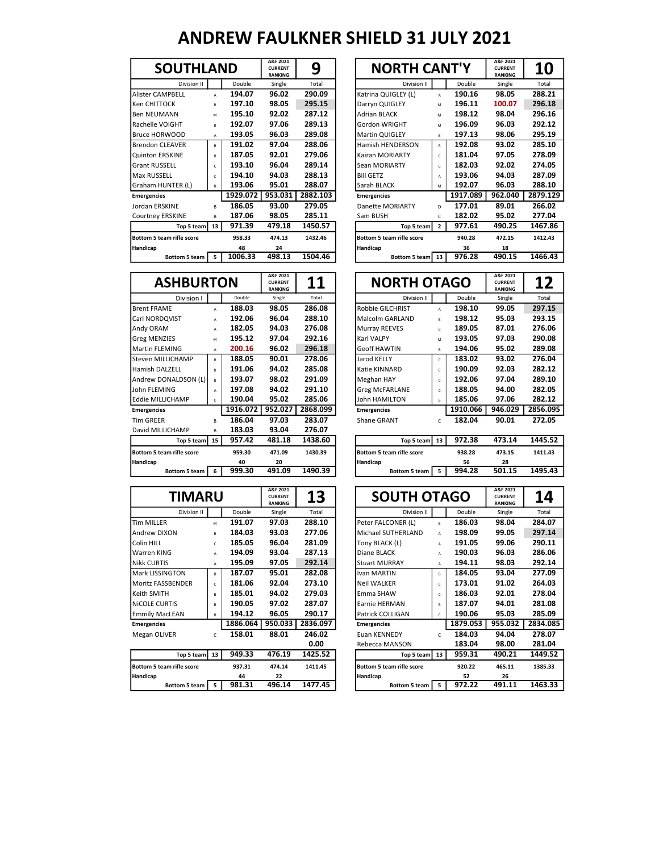| <b>SOUTHLAND</b>          |                |          | A&F 2021<br><b>CURRENT</b><br><b>RANKING</b> | 9        | <b>NORTH CANT'Y</b>       |                |          | A&F 20<br><b>CURRE</b><br><b>RANKII</b> |
|---------------------------|----------------|----------|----------------------------------------------|----------|---------------------------|----------------|----------|-----------------------------------------|
| Division II               |                | Double   | Single                                       | Total    | Division II               |                | Double   | Singl                                   |
| Alister CAMPBELL          | A              | 194.07   | 96.02                                        | 290.09   | Katrina QUIGLEY (L)       | A              | 190.16   | 98.0                                    |
| Ken CHITTOCK              | R              | 197.10   | 98.05                                        | 295.15   | Darryn QUIGLEY            | M              | 196.11   | 100.0                                   |
| lBen NEUMANN              | M              | 195.10   | 92.02                                        | 287.12   | <b>Adrian BLACK</b>       | M              | 198.12   | 98.0                                    |
| Rachelle VOIGHT           | R              | 192.07   | 97.06                                        | 289.13   | Gordon WRIGHT             | M              | 196.09   | 96.0                                    |
| Bruce HORWOOD             | A              | 193.05   | 96.03                                        | 289.08   | Martin QUIGLEY            | B.             | 197.13   | 98.0                                    |
| Brendon CLEAVER           | R              | 191.02   | 97.04                                        | 288.06   | Hamish HENDERSON          | R.             | 192.08   | 93.0                                    |
| Quinton ERSKINE           | R              | 187.05   | 92.01                                        | 279.06   | Kairan MORIARTY           | $\mathfrak{c}$ | 181.04   | 97.0                                    |
| <b>Grant RUSSELL</b>      | $\epsilon$     | 193.10   | 96.04                                        | 289.14   | Sean MORIARTY             | $\mathfrak{c}$ | 182.03   | 92.0                                    |
| Max RUSSELL               | $\mathfrak{c}$ | 194.10   | 94.03                                        | 288.13   | <b>Bill GETZ</b>          | А              | 193.06   | 94.0                                    |
| Graham HUNTER (L)         | B              | 193.06   | 95.01                                        | 288.07   | Sarah BLACK               | M              | 192.07   | 96.0                                    |
| <b>Emergencies</b>        |                | 1929.072 | 953.031                                      | 2882.103 | <b>Emergencies</b>        |                | 1917.089 | 962.0                                   |
| Jordan ERSKINE            | R.             | 186.05   | 93.00                                        | 279.05   | Danette MORIARTY          | D              | 177.01   | 89.0                                    |
| Courtney ERSKINE          | R.             | 187.06   | 98.05                                        | 285.11   | Sam BUSH                  | C.             | 182.02   | 95.0                                    |
| Top 5 team                | 13             | 971.39   | 479.18                                       | 1450.57  | Top 5 team                | $\overline{2}$ | 977.61   | 490.2                                   |
| Bottom 5 team rifle score |                | 958.33   | 474.13                                       | 1432.46  | Bottom 5 team rifle score |                | 940.28   | 472.1                                   |
| <b>Handicap</b>           |                | 48       | 24                                           |          | Handicap                  |                | 36       |                                         |
| <b>Bottom 5 team</b>      | 5              | 1006.33  | 498.13                                       | 1504.46  | Bottom 5 team             | 13             | 976.28   | 490.                                    |
|                           |                |          |                                              |          |                           |                |          |                                         |

|                  |          | A&F 2021<br><b>CURRENT</b><br><b>RANKING</b> | 9        | <b>NORTH CANT'Y</b>     |                           |               | A&F 2021<br><b>CURRENT</b><br><b>RANKING</b> | <b>10</b> |
|------------------|----------|----------------------------------------------|----------|-------------------------|---------------------------|---------------|----------------------------------------------|-----------|
|                  | Double   | Single                                       | Total    | Division II             |                           | Double        | Single                                       | Total     |
| A                | 194.07   | 96.02                                        | 290.09   | Katrina QUIGLEY (L)     | A                         | 190.16        | 98.05                                        | 288.21    |
| R                | 197.10   | 98.05                                        | 295.15   | Darryn QUIGLEY          | M                         | 196.11        | 100.07                                       | 296.18    |
| M                | 195.10   | 92.02                                        | 287.12   | <b>Adrian BLACK</b>     | M                         | 198.12        | 98.04                                        | 296.16    |
| B                | 192.07   | 97.06                                        | 289.13   | Gordon WRIGHT           | M                         | 196.09        | 96.03                                        | 292.12    |
| A                | 193.05   | 96.03                                        | 289.08   | <b>Martin QUIGLEY</b>   | B                         | 197.13        | 98.06                                        | 295.19    |
| B                | 191.02   | 97.04                                        | 288.06   | Hamish HENDERSON        | B                         | 192.08        | 93.02                                        | 285.10    |
| B                | 187.05   | 92.01                                        | 279.06   | Kairan MORIARTY         | C.                        | 181.04        | 97.05                                        | 278.09    |
| Ċ                | 193.10   | 96.04                                        | 289.14   | Sean MORIARTY           | C.                        | 182.03        | 92.02                                        | 274.05    |
| Ċ                | 194.10   | 94.03                                        | 288.13   | <b>Bill GETZ</b>        | A                         | 193.06        | 94.03                                        | 287.09    |
| $\mathsf{R}$     | 193.06   | 95.01                                        | 288.07   | Sarah BLACK             | M                         | 192.07        | 96.03                                        | 288.10    |
|                  | 1929.072 | 953.031                                      | 2882.103 | <b>Emergencies</b>      |                           | 1917.089      | 962.040                                      | 2879.129  |
| R.               | 186.05   | 93.00                                        | 279.05   | <b>Danette MORIARTY</b> | D.                        | 177.01        | 89.01                                        | 266.02    |
| B                | 187.06   | 98.05                                        | 285.11   | Sam BUSH                | c                         | 182.02        | 95.02                                        | 277.04    |
| Top 5 team<br>13 | 971.39   | 479.18                                       | 1450.57  | Top 5 team              | $\overline{2}$            | 977.61        | 490.25                                       | 1467.86   |
|                  | 958.33   | 474.13                                       | 1432.46  |                         |                           | 940.28        | 472.15                                       | 1412.43   |
|                  | 48       | 24                                           |          | Handicap                |                           | 36            | 18                                           |           |
| 5                | 1006.33  | 498.13                                       | 1504.46  |                         | 13                        | 976.28        | 490.15                                       | 1466.43   |
|                  |          | <b>SOUTHLAND</b>                             |          |                         | Bottom 5 team rifle score | Bottom 5 team |                                              |           |

| <b>ASHBURTON</b>          |              |          | A&F 2021<br><b>CURRENT</b><br><b>RANKING</b> | 11       |                                  | <b>NORTH OTAGO</b> | A&F 2021<br><b>CURRENT</b><br><b>RANKING</b> |
|---------------------------|--------------|----------|----------------------------------------------|----------|----------------------------------|--------------------|----------------------------------------------|
| Division I                |              | Double   | Single                                       | Total    | Division II                      | Double             | Single                                       |
| <b>Brent FRAME</b>        | $\mathbf{A}$ | 188.03   | 98.05                                        | 286.08   | Robbie GILCHRIST                 | 198.10<br>A        | 99.05                                        |
| Carl NORDQVIST            | A            | 192.06   | 96.04                                        | 288.10   | Malcolm GARLAND                  | 198.12<br>B        | 95.03                                        |
| Andy ORAM                 | A            | 182.05   | 94.03                                        | 276.08   | Murray REEVES                    | 189.05<br>B        | 87.01                                        |
| <b>Greg MENZIES</b>       | M            | 195.12   | 97.04                                        | 292.16   | Karl VALPY                       | 193.05<br>M        | 97.03                                        |
| Martin FLEMING            | A            | 200.16   | 96.02                                        | 296.18   | <b>Geoff HAWTIN</b>              | 194.06<br>B        | 95.02                                        |
| Steven MILLICHAMP         | R.           | 188.05   | 90.01                                        | 278.06   | Jarod KELLY                      | 183.02<br>c        | 93.02                                        |
| Hamish DALZELL            | B            | 191.06   | 94.02                                        | 285.08   | Katie KINNARD                    | 190.09<br>c        | 92.03                                        |
| Andrew DONALDSON (L)      | в            | 193.07   | 98.02                                        | 291.09   | Meghan HAY                       | 192.06<br>c        | 97.04                                        |
| John FLEMING              | A            | 197.08   | 94.02                                        | 291.10   | <b>Greg McFARLANE</b>            | 188.05<br>c        | 94.00                                        |
| <b>I</b> Eddie MILLICHAMP | c            | 190.04   | 95.02                                        | 285.06   | <b>John HAMILTON</b>             | 185.06<br>B        | 97.06                                        |
| <b>Emergencies</b>        |              | 1916.072 | 952.027                                      | 2868.099 | <b>Emergencies</b>               | 1910.066           | 946.029                                      |
| <b>Tim GREER</b>          | R.           | 186.04   | 97.03                                        | 283.07   | Shane GRANT                      | 182.04<br>C        | 90.01                                        |
| David MILLICHAMP          | B.           | 183.03   | 93.04                                        | 276.07   |                                  |                    |                                              |
| Top 5 team 15             |              | 957.42   | 481.18                                       | 1438.60  | Top 5 team                       | 972.38<br>13       | 473.14                                       |
| Bottom 5 team rifle score |              | 959.30   | 471.09                                       | 1430.39  | <b>Bottom 5 team rifle score</b> | 938.28             | 473.15                                       |
| Handicap                  |              | 40       | 20                                           |          | Handicap                         | 56                 | 28                                           |
| <b>Bottom 5 team</b>      | 6            | 999.30   | 491.09                                       | 1490.39  | Bottom 5 team                    | 994.28<br>5        | 501.15                                       |

|                      | <b>ASHBURTON</b> |          |         | 11       | <b>NORTH OTAGO</b>      |    |          | A&F 2021<br><b>CURRENT</b><br><b>RANKING</b> | 12       |  |
|----------------------|------------------|----------|---------|----------|-------------------------|----|----------|----------------------------------------------|----------|--|
| Division I           |                  | Double   | Single  | Total    | Division II             |    | Double   | Single                                       | Total    |  |
| <b>Brent FRAME</b>   | A                | 188.03   | 98.05   | 286.08   | <b>Robbie GILCHRIST</b> | A  | 198.10   | 99.05                                        | 297.15   |  |
| Carl NORDQVIST       | A                | 192.06   | 96.04   | 288.10   | Malcolm GARLAND         | B  | 198.12   | 95.03                                        | 293.15   |  |
| Andy ORAM            | A                | 182.05   | 94.03   | 276.08   | Murray REEVES           | B  | 189.05   | 87.01                                        | 276.06   |  |
| Greg MENZIES         | M                | 195.12   | 97.04   | 292.16   | Karl VALPY              | M  | 193.05   | 97.03                                        | 290.08   |  |
| Martin FLEMING       | A                | 200.16   | 96.02   | 296.18   | <b>Geoff HAWTIN</b>     | в  | 194.06   | 95.02                                        | 289.08   |  |
| Steven MILLICHAMP    | $\mathsf{R}$     | 188.05   | 90.01   | 278.06   | Jarod KELLY             | c  | 183.02   | 93.02                                        | 276.04   |  |
| Hamish DALZELL       | R                | 191.06   | 94.02   | 285.08   | Katie KINNARD           | C. | 190.09   | 92.03                                        | 282.12   |  |
| Andrew DONALDSON (L) | B                | 193.07   | 98.02   | 291.09   | Meghan HAY              | c  | 192.06   | 97.04                                        | 289.10   |  |
| John FLEMING         | A                | 197.08   | 94.02   | 291.10   | <b>Greg McFARLANE</b>   | c  | 188.05   | 94.00                                        | 282.05   |  |
| Eddie MILLICHAMP     | Ċ                | 190.04   | 95.02   | 285.06   | John HAMILTON           | R. | 185.06   | 97.06                                        | 282.12   |  |
| <b>Emergencies</b>   |                  | 1916.072 | 952.027 | 2868.099 | <b>Emergencies</b>      |    | 1910.066 | 946.029                                      | 2856.095 |  |
| Tim GREER            | R                | 186.04   | 97.03   | 283.07   | <b>Shane GRANT</b>      |    | 182.04   | 90.01                                        | 272.05   |  |
|                      |                  |          | -- - -  |          |                         |    |          |                                              |          |  |

| Top 5 team     | 15 <sup>1</sup> | 957.42 | 481.18 | 1438.60 | Top 5 team                | 13 | 972.38 | 473.14 | 1445.52 |
|----------------|-----------------|--------|--------|---------|---------------------------|----|--------|--------|---------|
| ım rifle score |                 | 959.30 | 471.09 | 1430.39 | Bottom 5 team rifle score |    | 938.28 | 473.15 | 1411.43 |
|                |                 | 40     | 20     |         | <b>Handicap</b>           |    | 56     | 28     |         |
| Bottom 5 team  |                 | 999.30 | 491.09 | 1490.39 | Bottom 5 team             |    | 994.28 | 501.15 | 1495.43 |

| <b>TIMARU</b>             |              |          | A&F 2021<br><b>CURRENT</b><br><b>RANKING</b> | 13       | <b>SOUTH OTAGO</b>        |              |          | A&F 2021<br><b>CURRENT</b><br><b>RANKING</b> | 14      |
|---------------------------|--------------|----------|----------------------------------------------|----------|---------------------------|--------------|----------|----------------------------------------------|---------|
| Division II               |              | Double   | Single                                       | Total    | Division II               |              | Double   | Single                                       | Total   |
| <b>Tim MILLER</b>         | M            | 191.07   | 97.03                                        | 288.10   | Peter FALCONER (L)        | R.           | 186.03   | 98.04                                        | 284.07  |
| Andrew DIXON              | B            | 184.03   | 93.03                                        | 277.06   | Michael SUTHERLAND        | $\mathsf{A}$ | 198.09   | 99.05                                        | 297.14  |
| Colin HILL                | c            | 185.05   | 96.04                                        | 281.09   | Tony BLACK (L)            | $\mathsf{A}$ | 191.05   | 99.06                                        | 290.11  |
| Warren KING               | A            | 194.09   | 93.04                                        | 287.13   | Diane BLACK               | A            | 190.03   | 96.03                                        | 286.06  |
| <b>Nikk CURTIS</b>        | A            | 195.09   | 97.05                                        | 292.14   | <b>Stuart MURRAY</b>      | A            | 194.11   | 98.03                                        | 292.14  |
| Mark LISSINGTON           | $\mathsf{R}$ | 187.07   | 95.01                                        | 282.08   | Ivan MARTIN               | $\mathsf{R}$ | 184.05   | 93.04                                        | 277.09  |
| <b>Moritz FASSBENDER</b>  | c            | 181.06   | 92.04                                        | 273.10   | <b>Neil WALKER</b>        | c            | 173.01   | 91.02                                        | 264.03  |
| Keith SMITH               | B            | 185.01   | 94.02                                        | 279.03   | Emma SHAW                 | c            | 186.03   | 92.01                                        | 278.04  |
| <b>NICOLE CURTIS</b>      | B            | 190.05   | 97.02                                        | 287.07   | Earnie HERMAN             | B            | 187.07   | 94.01                                        | 281.08  |
| <b>Emmily MacLEAN</b>     | $\mathsf{R}$ | 194.12   | 96.05                                        | 290.17   | Patrick COLLIGAN          | $\mathsf{C}$ | 190.06   | 95.03                                        | 285.09  |
| <b>Emergencies</b>        |              | 1886.064 | 950.033                                      | 2836.097 | <b>Emergencies</b>        |              | 1879.053 | 955.032                                      | 2834.08 |
| Megan OLIVER              | C            | 158.01   | 88.01                                        | 246.02   | Euan KENNEDY              | C.           | 184.03   | 94.04                                        | 278.07  |
|                           |              |          |                                              | 0.00     | Rebecca MANSON            |              | 183.04   | 98.00                                        | 281.04  |
| Top 5 team                | 13           | 949.33   | 476.19                                       | 1425.52  | Top 5 team                | 13           | 959.31   | 490.21                                       | 1449.52 |
| Bottom 5 team rifle score |              | 937.31   | 474.14                                       | 1411.45  | Bottom 5 team rifle score |              | 920.22   | 465.11                                       | 1385.33 |
| Handicap                  |              | 44       | 22                                           |          | Handicap                  |              | 52       | 26                                           |         |
| Bottom 5 team             | -5           | 981.31   | 496.14                                       | 1477.45  | Bottom 5 team             |              | 972.22   | 491.11                                       | 1463.33 |

| <b>TIMARU</b>                    |              |          | A&F 2021<br><b>CURRENT</b><br><b>RANKING</b> | 13       | <b>SOUTH OTAGO</b>        |                    |          | A&F 2021<br><b>CURRENT</b><br><b>RANKING</b> |          |
|----------------------------------|--------------|----------|----------------------------------------------|----------|---------------------------|--------------------|----------|----------------------------------------------|----------|
| Division II                      |              | Double   | Single                                       | Total    |                           | Division II        | Double   | Single                                       |          |
| <b>Tim MILLER</b>                | M            | 191.07   | 97.03                                        | 288.10   | Peter FALCONER (L)        | R.                 | 186.03   | 98.04                                        | 284.07   |
| <b>Andrew DIXON</b>              | $\mathsf{R}$ | 184.03   | 93.03                                        | 277.06   | Michael SUTHERLAND        | A                  | 198.09   | 99.05                                        | 297.14   |
| Colin HILL                       | Ċ.           | 185.05   | 96.04                                        | 281.09   | Tony BLACK (L)            | A                  | 191.05   | 99.06                                        | 290.11   |
| Warren KING                      | A            | 194.09   | 93.04                                        | 287.13   | Diane BLACK               | A                  | 190.03   | 96.03                                        | 286.06   |
| Nikk CURTIS                      | A            | 195.09   | 97.05                                        | 292.14   | <b>Stuart MURRAY</b>      | A                  | 194.11   | 98.03                                        | 292.14   |
| Mark LISSINGTON                  | B            | 187.07   | 95.01                                        | 282.08   | Ivan MARTIN               | в                  | 184.05   | 93.04                                        | 277.09   |
| Moritz FASSBENDER                | Ċ            | 181.06   | 92.04                                        | 273.10   | <b>Neil WALKER</b>        | C.                 | 173.01   | 91.02                                        | 264.03   |
| Keith SMITH                      | B            | 185.01   | 94.02                                        | 279.03   | Emma SHAW                 | $\mathfrak{c}$     | 186.03   | 92.01                                        | 278.04   |
| NICOLE CURTIS                    | B            | 190.05   | 97.02                                        | 287.07   | Earnie HERMAN             | R.                 | 187.07   | 94.01                                        | 281.08   |
| <b>Emmily MacLEAN</b>            | $\mathsf{R}$ | 194.12   | 96.05                                        | 290.17   | Patrick COLLIGAN          | C.                 | 190.06   | 95.03                                        | 285.09   |
| <b>Emergencies</b>               |              | 1886.064 | 950.033                                      | 2836.097 | <b>Emergencies</b>        |                    | 1879.053 | 955.032                                      | 2834.085 |
| Megan OLIVER                     | $\mathsf{C}$ | 158.01   | 88.01                                        | 246.02   | Euan KENNEDY              | C.                 | 184.03   | 94.04                                        | 278.07   |
|                                  |              |          |                                              | 0.00     | Rebecca MANSON            |                    | 183.04   | 98.00                                        | 281.04   |
| Top 5 team                       | 13           | 949.33   | 476.19                                       | 1425.52  |                           | Top 5 team 13      | 959.31   | 490.21                                       | 1449.52  |
| <b>Bottom 5 team rifle score</b> |              | 937.31   | 474.14                                       | 1411.45  | Bottom 5 team rifle score |                    | 920.22   | 465.11                                       | 1385.33  |
| Handicap                         |              | 44       | 22                                           |          | <b>Handicap</b>           |                    | 52       | 26                                           |          |
| Bottom 5 team   5                |              | 981.31   | 496.14                                       | 1477.45  |                           | Bottom 5 team<br>5 | 972.22   | 491.11                                       | 1463.33  |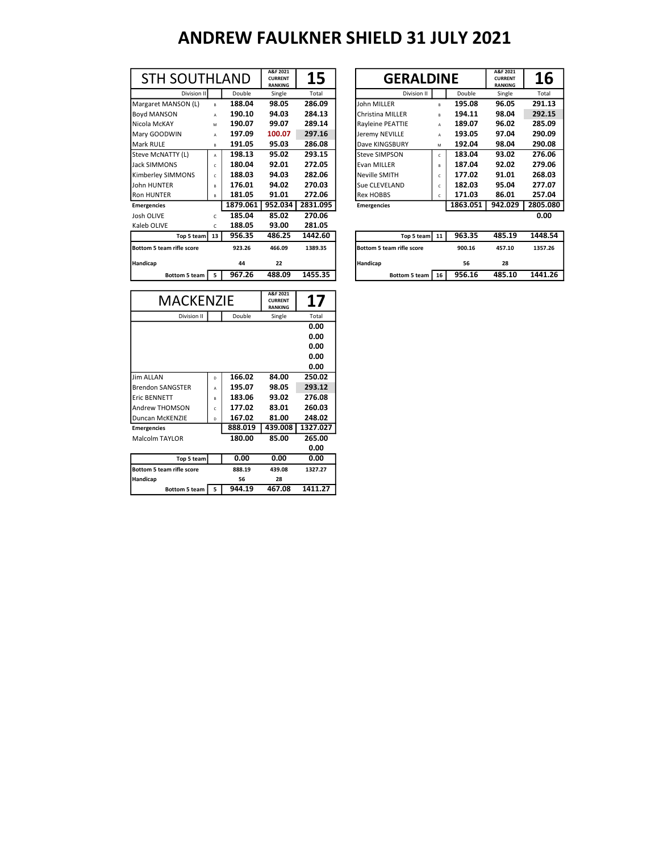| <b>STH SOUTHLAND</b>      |              |          | A&F 2021<br><b>CURRENT</b><br><b>RANKING</b> | 15       | <b>GERALDINE</b>          |    |          |        | A&F 2021<br><b>CURRENT</b><br><b>RANKING</b> |
|---------------------------|--------------|----------|----------------------------------------------|----------|---------------------------|----|----------|--------|----------------------------------------------|
| Division II               |              | Double   | Single                                       | Total    | Division II               |    |          | Double | Single                                       |
| Margaret MANSON (L)       | $\mathsf{R}$ | 188.04   | 98.05                                        | 286.09   | John MILLER               | R. | 195.08   |        | 96.05                                        |
| <b>Boyd MANSON</b>        | A            | 190.10   | 94.03                                        | 284.13   | Christina MILLER          | B  | 194.11   |        | 98.04                                        |
| Nicola McKAY              | M            | 190.07   | 99.07                                        | 289.14   | Rayleine PEATTIE          | A  | 189.07   |        | 96.02                                        |
| Mary GOODWIN              | A            | 197.09   | 100.07                                       | 297.16   | Jeremy NEVILLE            | A  | 193.05   |        | 97.04                                        |
| Mark RULE                 | в            | 191.05   | 95.03                                        | 286.08   | Dave KINGSBURY            | M  | 192.04   |        | 98.04                                        |
| Steve McNATTY (L)         | A            | 198.13   | 95.02                                        | 293.15   | <b>Steve SIMPSON</b>      | c  | 183.04   |        | 93.02                                        |
| <b>Jack SIMMONS</b>       | c            | 180.04   | 92.01                                        | 272.05   | <b>Evan MILLER</b>        | B  | 187.04   |        | 92.02                                        |
| Kimberley SIMMONS         | c            | 188.03   | 94.03                                        | 282.06   | <b>Neville SMITH</b>      | Ċ  | 177.02   |        | 91.01                                        |
| John HUNTER               | R.           | 176.01   | 94.02                                        | 270.03   | Sue CLEVELAND             | c  | 182.03   |        | 95.04                                        |
| <b>Ron HUNTER</b>         | B            | 181.05   | 91.01                                        | 272.06   | <b>Rex HOBBS</b>          | c  | 171.03   |        | 86.01                                        |
| <b>Emergencies</b>        |              | 1879.061 | 952.034                                      | 2831.095 | <b>Emergencies</b>        |    | 1863.051 |        | 942.029                                      |
| Josh OLIVE                | C            | 185.04   | 85.02                                        | 270.06   |                           |    |          |        |                                              |
| Kaleb OLIVE               | C            | 188.05   | 93.00                                        | 281.05   |                           |    |          |        |                                              |
| Top 5 team                | 13           | 956.35   | 486.25                                       | 1442.60  | Top 5 team 11             |    | 963.35   |        | 485.19                                       |
| Bottom 5 team rifle score |              | 923.26   | 466.09                                       | 1389.35  | Bottom 5 team rifle score |    | 900.16   |        | 457.10                                       |
| Handicap                  |              | 44       | 22                                           |          | Handicap                  |    | 56       |        | 28                                           |
| Bottom 5 team             | 5            | 967.26   | 488.09                                       | 1455.35  | Bottom 5 team   16        |    | 956.16   |        | 485.10                                       |
|                           |              |          |                                              |          |                           |    |          |        |                                              |

| <b>STH SOUTHLAND</b> |              |          | A&F 2021<br><b>CURRENT</b><br><b>RANKING</b> | 15       | <b>GERALDINE</b>        |    |          | A&F 2021<br><b>CURRENT</b><br><b>RANKING</b> | <b>16</b> |
|----------------------|--------------|----------|----------------------------------------------|----------|-------------------------|----|----------|----------------------------------------------|-----------|
| Division II          |              | Double   | Single                                       | Total    | Division II             |    | Double   | Single                                       | Total     |
| Margaret MANSON (L)  | $\mathbf{R}$ | 188.04   | 98.05                                        | 286.09   | John MILLER             | B  | 195.08   | 96.05                                        | 291.13    |
| Boyd MANSON          | A            | 190.10   | 94.03                                        | 284.13   | Christina MILLER        | B  | 194.11   | 98.04                                        | 292.15    |
| Nicola McKAY         | M            | 190.07   | 99.07                                        | 289.14   | <b>Ravleine PEATTIE</b> | A  | 189.07   | 96.02                                        | 285.09    |
| Mary GOODWIN         | A            | 197.09   | 100.07                                       | 297.16   | Jeremy NEVILLE          | A  | 193.05   | 97.04                                        | 290.09    |
| Mark RULE            | B            | 191.05   | 95.03                                        | 286.08   | Dave KINGSBURY          | M  | 192.04   | 98.04                                        | 290.08    |
| Steve McNATTY (L)    | A            | 198.13   | 95.02                                        | 293.15   | Steve SIMPSON           | c  | 183.04   | 93.02                                        | 276.06    |
| Jack SIMMONS         | c            | 180.04   | 92.01                                        | 272.05   | Evan MILLER             | B  | 187.04   | 92.02                                        | 279.06    |
| Kimberley SIMMONS    | $\mathsf{C}$ | 188.03   | 94.03                                        | 282.06   | Neville SMITH           | c  | 177.02   | 91.01                                        | 268.03    |
| John HUNTER          | $\mathsf{R}$ | 176.01   | 94.02                                        | 270.03   | Sue CLEVELAND           | C. | 182.03   | 95.04                                        | 277.07    |
| <b>Ron HUNTER</b>    | B            | 181.05   | 91.01                                        | 272.06   | <b>Rex HOBBS</b>        | c  | 171.03   | 86.01                                        | 257.04    |
| <b>Emergencies</b>   |              | 1879.061 | 952.034                                      | 2831.095 | <b>Emergencies</b>      |    | 1863.051 | 942.029                                      | 2805.080  |
| Josh OLIVE           | C            | 185.04   | 85.02                                        | 270.06   |                         |    |          |                                              | 0.00      |
|                      |              |          |                                              |          |                         |    |          |                                              |           |

| Top 5 team I                     | 13. | ככ.סככ | 480.43 | 1442.OU | 100 5 team1 11 1                 | 503.33 | 483.19 | 1448.34 |
|----------------------------------|-----|--------|--------|---------|----------------------------------|--------|--------|---------|
| <b>Bottom 5 team rifle score</b> |     | 923.26 | 466.09 | 1389.35 | <b>Bottom 5 team rifle score</b> | 900.16 | 457.10 | 1357.26 |
| Handicap                         |     | 44     | 22     |         | <b>Handicap</b>                  | 56     | 28     |         |
| Bottom 5 team                    |     | 967.26 | 488.09 | 1455.35 | 16<br>Bottom 5 team              | 956.16 | 485.10 | 1441.26 |
|                                  |     |        |        |         |                                  |        |        |         |

| <b>MACKENZIE</b>                 | A&F 2021<br><b>CURRENT</b><br><b>RANKING</b> | 17      |         |          |
|----------------------------------|----------------------------------------------|---------|---------|----------|
| Division II                      |                                              | Double  | Single  | Total    |
|                                  |                                              |         |         | 0.00     |
|                                  |                                              |         |         | 0.00     |
|                                  |                                              |         |         | 0.00     |
|                                  |                                              |         |         | 0.00     |
|                                  |                                              |         |         | 0.00     |
| <b>Jim ALLAN</b>                 | D                                            | 166.02  | 84.00   | 250.02   |
| Brendon SANGSTER                 | A                                            | 195.07  | 98.05   | 293.12   |
| <b>Eric BENNETT</b>              | R                                            | 183.06  | 93.02   | 276.08   |
| Andrew THOMSON                   | Ċ                                            | 177.02  | 83.01   | 260.03   |
| Duncan McKENZIE                  | D                                            | 167.02  | 81.00   | 248.02   |
| <b>Emergencies</b>               |                                              | 888.019 | 439.008 | 1327.027 |
| Malcolm TAYLOR                   |                                              | 180.00  | 85.00   | 265.00   |
|                                  |                                              |         |         | 0.00     |
| Top 5 team                       |                                              | 0.00    | 0.00    | 0.00     |
| <b>Bottom 5 team rifle score</b> |                                              | 888.19  | 439.08  | 1327.27  |
| Handicap                         |                                              | 56      | 28      |          |
| <b>Bottom 5 team</b>             | 5                                            | 944.19  | 467.08  | 1411.27  |